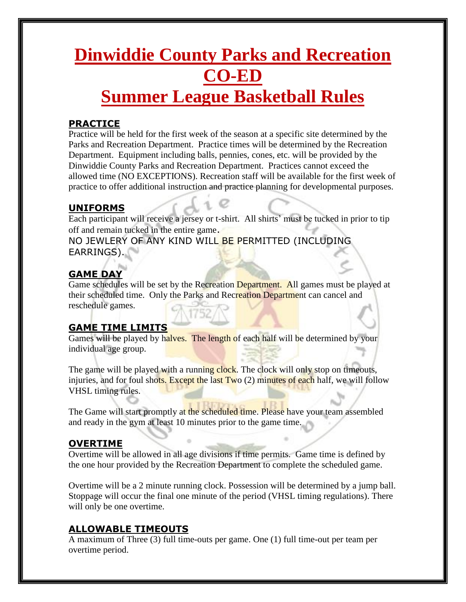# **Dinwiddie County Parks and Recreation CO-ED Summer League Basketball Rules**

#### **PRACTICE**

Practice will be held for the first week of the season at a specific site determined by the Parks and Recreation Department. Practice times will be determined by the Recreation Department. Equipment including balls, pennies, cones, etc. will be provided by the Dinwiddie County Parks and Recreation Department. Practices cannot exceed the allowed time (NO EXCEPTIONS). Recreation staff will be available for the first week of practice to offer additional instruction and practice planning for developmental purposes.

#### **UNIFORMS**

Each participant will receive a jersey or t-shirt. All shirts' must be tucked in prior to tip off and remain tucked in the entire game.

NO JEWLERY OF ANY KIND WILL BE PERMITTED (INCLUDING EARRINGS).

## **GAME DAY**

Game schedules will be set by the Recreation Department. All games must be played at their scheduled time. Only the Parks and Recreation Department can cancel and reschedule games.

### **GAME TIME LIMITS**

Games will be played by halves. The length of each half will be determined by your individual age group.

The game will be played with a running clock. The clock will only stop on timeouts, injuries, and for foul shots. Except the last Two (2) minutes of each half, we will follow VHSL timing rules.

The Game will start promptly at the scheduled time. Please have your team assembled and ready in the gym at least 10 minutes prior to the game time.

#### **OVERTIME**

Overtime will be allowed in all age divisions if time permits. Game time is defined by the one hour provided by the Recreation Department to complete the scheduled game.

Overtime will be a 2 minute running clock. Possession will be determined by a jump ball. Stoppage will occur the final one minute of the period (VHSL timing regulations). There will only be one overtime.

### **ALLOWABLE TIMEOUTS**

A maximum of Three (3) full time-outs per game. One (1) full time-out per team per overtime period.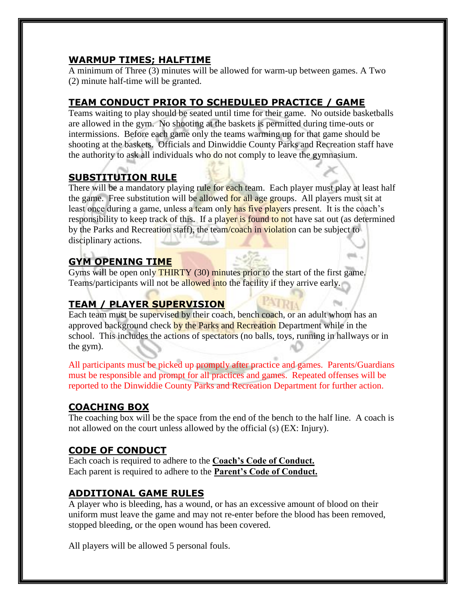## **WARMUP TIMES; HALFTIME**

A minimum of Three (3) minutes will be allowed for warm-up between games. A Two (2) minute half-time will be granted.

## **TEAM CONDUCT PRIOR TO SCHEDULED PRACTICE / GAME**

Teams waiting to play should be seated until time for their game. No outside basketballs are allowed in the gym. No shooting at the baskets is permitted during time-outs or intermissions. Before each game only the teams warming up for that game should be shooting at the baskets. Officials and Dinwiddie County Parks and Recreation staff have the authority to ask all individuals who do not comply to leave the gymnasium.

# **SUBSTITUTION RULE**

There will be a mandatory playing rule for each team. Each player must play at least half the game. Free substitution will be allowed for all age groups. All players must sit at least once during a game, unless a team only has five players present. It is the coach's responsibility to keep track of this. If a player is found to not have sat out (as determined by the Parks and Recreation staff), the team/coach in violation can be subject to disciplinary actions.

# **GYM OPENING TIME**

Gyms will be open only **THIRTY** (30) minutes prior to the start of the first game. Teams/participants will not be allowed into the facility if they arrive early.

# **TEAM / PLAYER SUPERVISION**

Each team must be supervised by their coach, bench coach, or an adult whom has an approved background check by the Parks and Recreation Department while in the school. This includes the actions of spectators (no balls, toys, running in hallways or in the gym).

All participants must be picked up promptly after practice and games. Parents/Guardians must be responsible and prompt for all practices and games. Repeated offenses will be reported to the Dinwiddie County Parks and Recreation Department for further action.

# **COACHING BOX**

The coaching box will be the space from the end of the bench to the half line. A coach is not allowed on the court unless allowed by the official (s) (EX: Injury).

# **CODE OF CONDUCT**

Each coach is required to adhere to the **Coach's Code of Conduct.** Each parent is required to adhere to the **Parent's Code of Conduct.**

## **ADDITIONAL GAME RULES**

A player who is bleeding, has a wound, or has an excessive amount of blood on their uniform must leave the game and may not re-enter before the blood has been removed, stopped bleeding, or the open wound has been covered.

All players will be allowed 5 personal fouls.